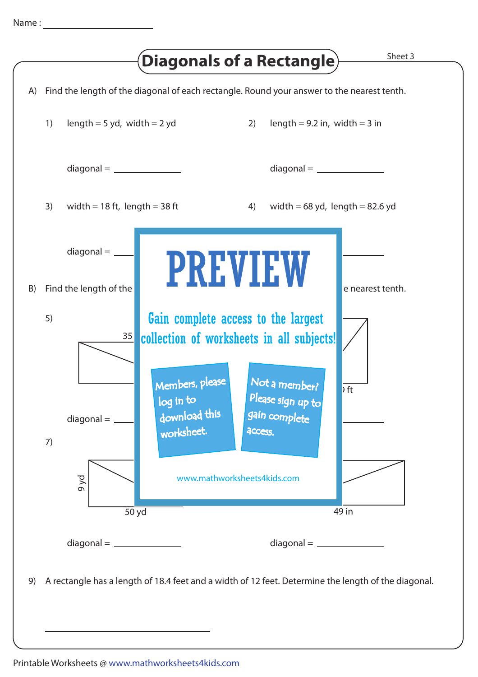